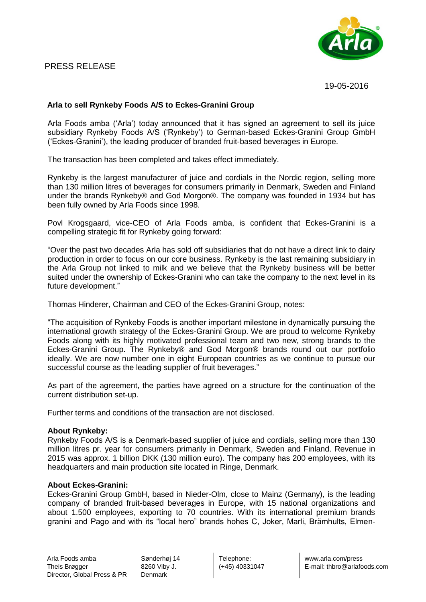# PRESS RELEASE



19-05-2016

## **Arla to sell Rynkeby Foods A/S to Eckes-Granini Group**

Arla Foods amba ('Arla') today announced that it has signed an agreement to sell its juice subsidiary Rynkeby Foods A/S ('Rynkeby') to German-based Eckes-Granini Group GmbH ('Eckes-Granini'), the leading producer of branded fruit-based beverages in Europe.

The transaction has been completed and takes effect immediately.

Rynkeby is the largest manufacturer of juice and cordials in the Nordic region, selling more than 130 million litres of beverages for consumers primarily in Denmark, Sweden and Finland under the brands Rynkeby® and God Morgon®. The company was founded in 1934 but has been fully owned by Arla Foods since 1998.

Povl Krogsgaard, vice-CEO of Arla Foods amba, is confident that Eckes-Granini is a compelling strategic fit for Rynkeby going forward:

"Over the past two decades Arla has sold off subsidiaries that do not have a direct link to dairy production in order to focus on our core business. Rynkeby is the last remaining subsidiary in the Arla Group not linked to milk and we believe that the Rynkeby business will be better suited under the ownership of Eckes-Granini who can take the company to the next level in its future development."

Thomas Hinderer, Chairman and CEO of the Eckes-Granini Group, notes:

"The acquisition of Rynkeby Foods is another important milestone in dynamically pursuing the international growth strategy of the Eckes-Granini Group. We are proud to welcome Rynkeby Foods along with its highly motivated professional team and two new, strong brands to the Eckes-Granini Group. The Rynkeby® and God Morgon® brands round out our portfolio ideally. We are now number one in eight European countries as we continue to pursue our successful course as the leading supplier of fruit beverages."

As part of the agreement, the parties have agreed on a structure for the continuation of the current distribution set-up.

Further terms and conditions of the transaction are not disclosed.

#### **About Rynkeby:**

Rynkeby Foods A/S is a Denmark-based supplier of juice and cordials, selling more than 130 million litres pr. year for consumers primarily in Denmark, Sweden and Finland. Revenue in 2015 was approx. 1 billion DKK (130 million euro). The company has 200 employees, with its headquarters and main production site located in Ringe, Denmark.

### **About Eckes-Granini:**

Eckes-Granini Group GmbH, based in Nieder-Olm, close to Mainz (Germany), is the leading company of branded fruit-based beverages in Europe, with 15 national organizations and about 1.500 employees, exporting to 70 countries. With its international premium brands granini and Pago and with its "local hero" brands hohes C, Joker, Marli, Brämhults, Elmen-

Sønderhøj 14 8260 Viby J. Denmark

Telephone: (+45) 40331047